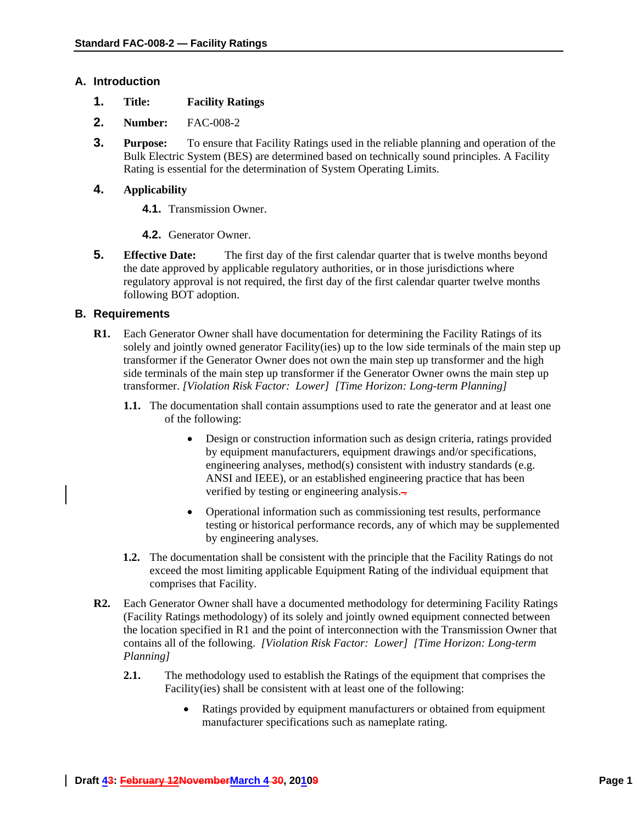### **A. Introduction**

- **1. Title: Facility Ratings**
- **2. Number:** FAC-008-2
- **3. Purpose:** To ensure that Facility Ratings used in the reliable planning and operation of the Bulk Electric System (BES) are determined based on technically sound principles. A Facility Rating is essential for the determination of System Operating Limits.

## **4. Applicability**

- **4.1.** Transmission Owner.
- **4.2.** Generator Owner.
- **5. Effective Date:** The first day of the first calendar quarter that is twelve months beyond the date approved by applicable regulatory authorities, or in those jurisdictions where regulatory approval is not required, the first day of the first calendar quarter twelve months following BOT adoption.

### **B. Requirements**

- **R1.** Each Generator Owner shall have documentation for determining the Facility Ratings of its solely and jointly owned generator Facility(ies) up to the low side terminals of the main step up transformer if the Generator Owner does not own the main step up transformer and the high side terminals of the main step up transformer if the Generator Owner owns the main step up transformer. *[Violation Risk Factor: Lower] [Time Horizon: Long-term Planning]* 
	- **1.1.** The documentation shall contain assumptions used to rate the generator and at least one of the following:
		- Design or construction information such as design criteria, ratings provided by equipment manufacturers, equipment drawings and/or specifications, engineering analyses, method(s) consistent with industry standards (e.g. ANSI and IEEE), or an established engineering practice that has been verified by testing or engineering analysis.-
		- Operational information such as commissioning test results, performance testing or historical performance records, any of which may be supplemented by engineering analyses.
	- **1.2.** The documentation shall be consistent with the principle that the Facility Ratings do not exceed the most limiting applicable Equipment Rating of the individual equipment that comprises that Facility.
- **R2.** Each Generator Owner shall have a documented methodology for determining Facility Ratings (Facility Ratings methodology) of its solely and jointly owned equipment connected between the location specified in R1 and the point of interconnection with the Transmission Owner that contains all of the following. *[Violation Risk Factor: Lower] [Time Horizon: Long-term Planning]* 
	- **2.1.** The methodology used to establish the Ratings of the equipment that comprises the Facility(ies) shall be consistent with at least one of the following:
		- Ratings provided by equipment manufacturers or obtained from equipment manufacturer specifications such as nameplate rating.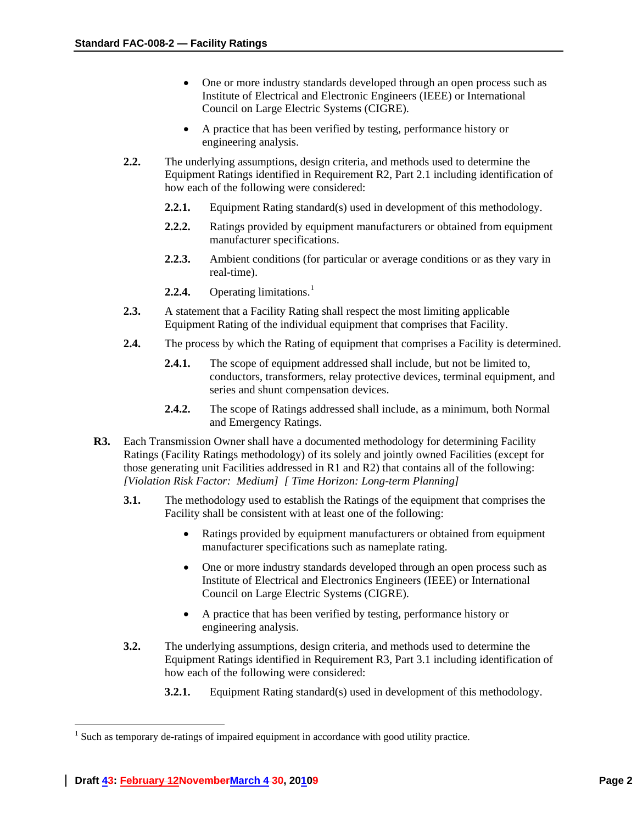- One or more industry standards developed through an open process such as Institute of Electrical and Electronic Engineers (IEEE) or International Council on Large Electric Systems (CIGRE).
- A practice that has been verified by testing, performance history or engineering analysis.
- **2.2.** The underlying assumptions, design criteria, and methods used to determine the Equipment Ratings identified in Requirement R2, Part 2.1 including identification of how each of the following were considered:
	- **2.2.1.** Equipment Rating standard(s) used in development of this methodology.
	- **2.2.2.** Ratings provided by equipment manufacturers or obtained from equipment manufacturer specifications.
	- **2.2.3.** Ambient conditions (for particular or average conditions or as they vary in real-time).
	- **2.2.4.** Operating limitations.<sup>[1](#page-1-0)</sup>
- **2.3.** A statement that a Facility Rating shall respect the most limiting applicable Equipment Rating of the individual equipment that comprises that Facility.
- **2.4.** The process by which the Rating of equipment that comprises a Facility is determined.
	- **2.4.1.** The scope of equipment addressed shall include, but not be limited to, conductors, transformers, relay protective devices, terminal equipment, and series and shunt compensation devices.
	- **2.4.2.** The scope of Ratings addressed shall include, as a minimum, both Normal and Emergency Ratings.
- **R3.** Each Transmission Owner shall have a documented methodology for determining Facility Ratings (Facility Ratings methodology) of its solely and jointly owned Facilities (except for those generating unit Facilities addressed in R1 and R2) that contains all of the following: *[Violation Risk Factor: Medium] [ Time Horizon: Long-term Planning]* 
	- **3.1.** The methodology used to establish the Ratings of the equipment that comprises the Facility shall be consistent with at least one of the following:
		- Ratings provided by equipment manufacturers or obtained from equipment manufacturer specifications such as nameplate rating.
		- One or more industry standards developed through an open process such as Institute of Electrical and Electronics Engineers (IEEE) or International Council on Large Electric Systems (CIGRE).
		- A practice that has been verified by testing, performance history or engineering analysis.
	- **3.2.** The underlying assumptions, design criteria, and methods used to determine the Equipment Ratings identified in Requirement R3, Part 3.1 including identification of how each of the following were considered:
		- **3.2.1.** Equipment Rating standard(s) used in development of this methodology.

 $\overline{a}$ 

<span id="page-1-0"></span> $<sup>1</sup>$  Such as temporary de-ratings of impaired equipment in accordance with good utility practice.</sup>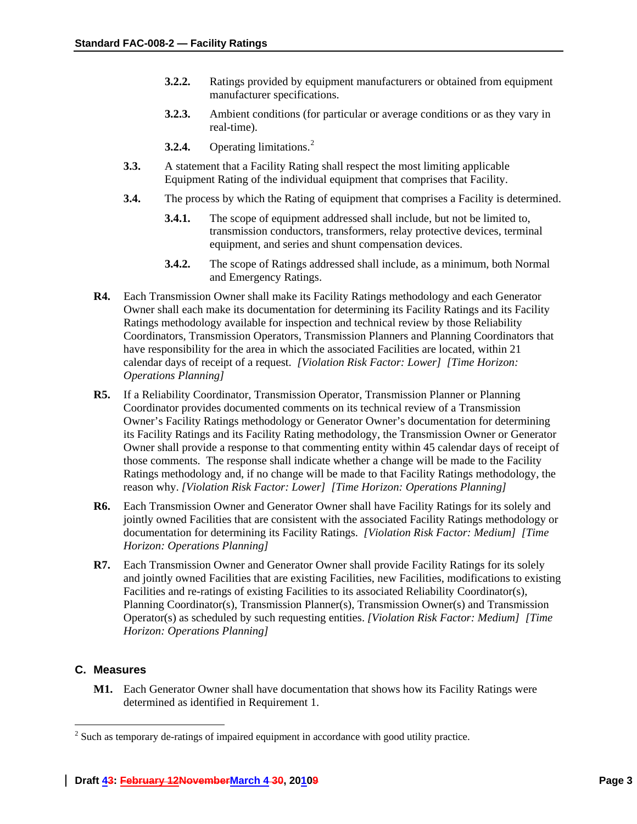- **3.2.2.** Ratings provided by equipment manufacturers or obtained from equipment manufacturer specifications.
- **3.2.3.** Ambient conditions (for particular or average conditions or as they vary in real-time).
- **3.[2](#page-2-0).4.** Operating limitations.<sup>2</sup>
- **3.3.** A statement that a Facility Rating shall respect the most limiting applicable Equipment Rating of the individual equipment that comprises that Facility.
- **3.4.** The process by which the Rating of equipment that comprises a Facility is determined.
	- **3.4.1.** The scope of equipment addressed shall include, but not be limited to, transmission conductors, transformers, relay protective devices, terminal equipment, and series and shunt compensation devices.
	- **3.4.2.** The scope of Ratings addressed shall include, as a minimum, both Normal and Emergency Ratings.
- **R4.** Each Transmission Owner shall make its Facility Ratings methodology and each Generator Owner shall each make its documentation for determining its Facility Ratings and its Facility Ratings methodology available for inspection and technical review by those Reliability Coordinators, Transmission Operators, Transmission Planners and Planning Coordinators that have responsibility for the area in which the associated Facilities are located, within 21 calendar days of receipt of a request. *[Violation Risk Factor: Lower] [Time Horizon: Operations Planning]*
- **R5.** If a Reliability Coordinator, Transmission Operator, Transmission Planner or Planning Coordinator provides documented comments on its technical review of a Transmission Owner's Facility Ratings methodology or Generator Owner's documentation for determining its Facility Ratings and its Facility Rating methodology, the Transmission Owner or Generator Owner shall provide a response to that commenting entity within 45 calendar days of receipt of those comments. The response shall indicate whether a change will be made to the Facility Ratings methodology and, if no change will be made to that Facility Ratings methodology, the reason why. *[Violation Risk Factor: Lower] [Time Horizon: Operations Planning]*
- **R6.** Each Transmission Owner and Generator Owner shall have Facility Ratings for its solely and jointly owned Facilities that are consistent with the associated Facility Ratings methodology or documentation for determining its Facility Ratings. *[Violation Risk Factor: Medium] [Time Horizon: Operations Planning]*
- **R7.** Each Transmission Owner and Generator Owner shall provide Facility Ratings for its solely and jointly owned Facilities that are existing Facilities, new Facilities, modifications to existing Facilities and re-ratings of existing Facilities to its associated Reliability Coordinator(s), Planning Coordinator(s), Transmission Planner(s), Transmission Owner(s) and Transmission Operator(s) as scheduled by such requesting entities. *[Violation Risk Factor: Medium] [Time Horizon: Operations Planning]*

## **C. Measures**

 $\overline{a}$ 

**M1.** Each Generator Owner shall have documentation that shows how its Facility Ratings were determined as identified in Requirement 1.

<span id="page-2-0"></span> $2^{2}$  Such as temporary de-ratings of impaired equipment in accordance with good utility practice.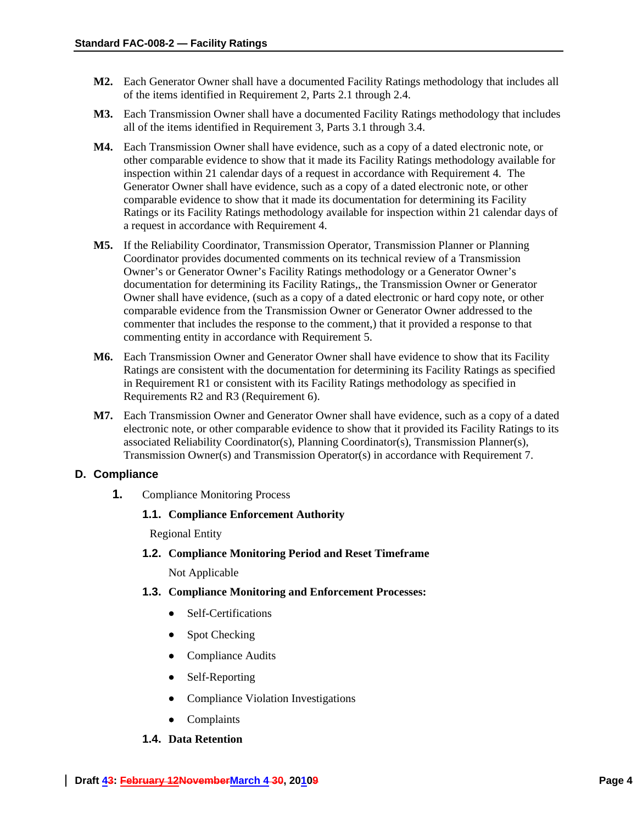- **M2.** Each Generator Owner shall have a documented Facility Ratings methodology that includes all of the items identified in Requirement 2, Parts 2.1 through 2.4.
- **M3.** Each Transmission Owner shall have a documented Facility Ratings methodology that includes all of the items identified in Requirement 3, Parts 3.1 through 3.4.
- **M4.** Each Transmission Owner shall have evidence, such as a copy of a dated electronic note, or other comparable evidence to show that it made its Facility Ratings methodology available for inspection within 21 calendar days of a request in accordance with Requirement 4. The Generator Owner shall have evidence, such as a copy of a dated electronic note, or other comparable evidence to show that it made its documentation for determining its Facility Ratings or its Facility Ratings methodology available for inspection within 21 calendar days of a request in accordance with Requirement 4.
- **M5.** If the Reliability Coordinator, Transmission Operator, Transmission Planner or Planning Coordinator provides documented comments on its technical review of a Transmission Owner's or Generator Owner's Facility Ratings methodology or a Generator Owner's documentation for determining its Facility Ratings,, the Transmission Owner or Generator Owner shall have evidence, (such as a copy of a dated electronic or hard copy note, or other comparable evidence from the Transmission Owner or Generator Owner addressed to the commenter that includes the response to the comment,) that it provided a response to that commenting entity in accordance with Requirement 5.
- **M6.** Each Transmission Owner and Generator Owner shall have evidence to show that its Facility Ratings are consistent with the documentation for determining its Facility Ratings as specified in Requirement R1 or consistent with its Facility Ratings methodology as specified in Requirements R2 and R3 (Requirement 6).
- **M7.** Each Transmission Owner and Generator Owner shall have evidence, such as a copy of a dated electronic note, or other comparable evidence to show that it provided its Facility Ratings to its associated Reliability Coordinator(s), Planning Coordinator(s), Transmission Planner(s), Transmission Owner(s) and Transmission Operator(s) in accordance with Requirement 7.

#### **D. Compliance**

**1.** Compliance Monitoring Process

#### **1.1. Compliance Enforcement Authority**

Regional Entity

**1.2. Compliance Monitoring Period and Reset Timeframe**

Not Applicable

- **1.3. Compliance Monitoring and Enforcement Processes:** 
	- Self-Certifications
	- Spot Checking
	- Compliance Audits
	- Self-Reporting
	- Compliance Violation Investigations
	- Complaints

### **1.4. Data Retention**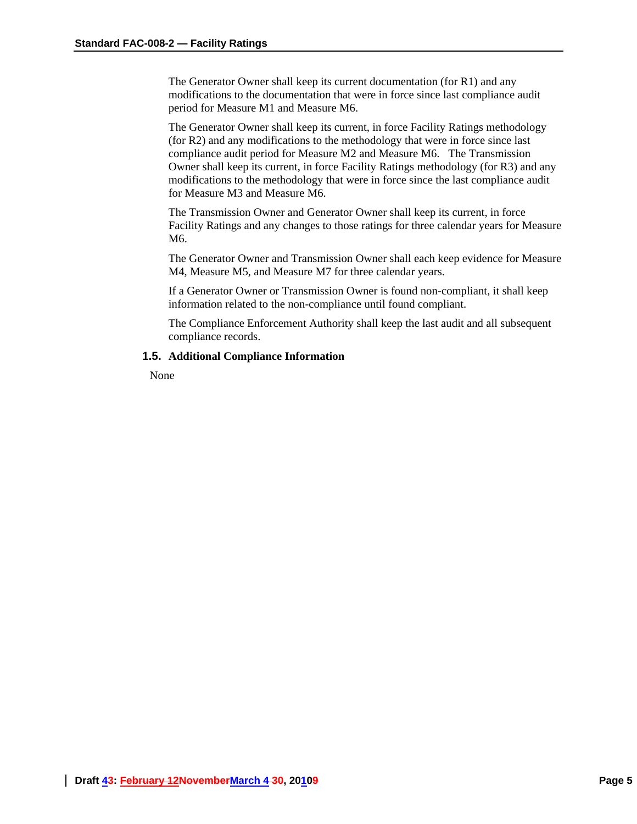The Generator Owner shall keep its current documentation (for R1) and any modifications to the documentation that were in force since last compliance audit period for Measure M1 and Measure M6.

The Generator Owner shall keep its current, in force Facility Ratings methodology (for R2) and any modifications to the methodology that were in force since last compliance audit period for Measure M2 and Measure M6. The Transmission Owner shall keep its current, in force Facility Ratings methodology (for R3) and any modifications to the methodology that were in force since the last compliance audit for Measure M3 and Measure M6.

The Transmission Owner and Generator Owner shall keep its current, in force Facility Ratings and any changes to those ratings for three calendar years for Measure M6.

The Generator Owner and Transmission Owner shall each keep evidence for Measure M4, Measure M5, and Measure M7 for three calendar years.

If a Generator Owner or Transmission Owner is found non-compliant, it shall keep information related to the non-compliance until found compliant.

The Compliance Enforcement Authority shall keep the last audit and all subsequent compliance records.

#### **1.5. Additional Compliance Information**

None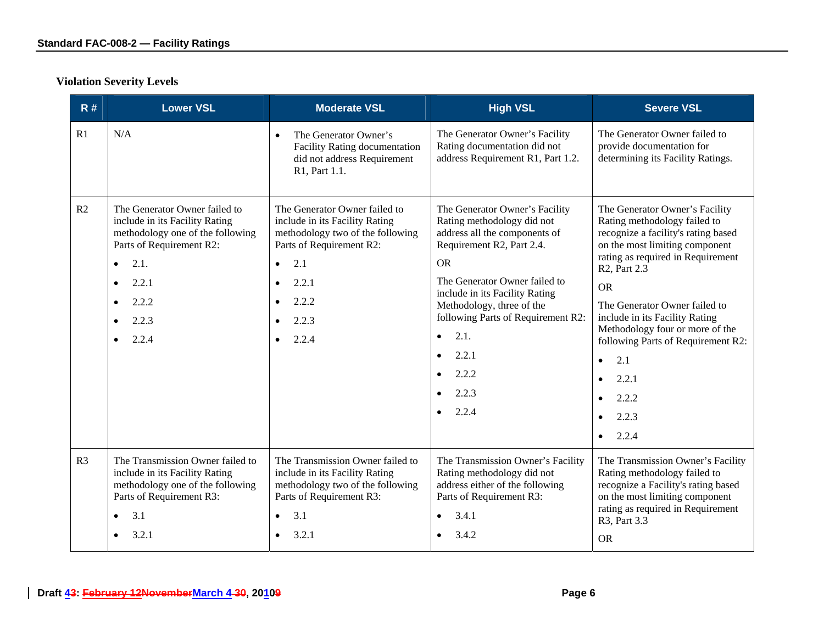# **Violation Severity Levels**

| R#             | <b>Lower VSL</b>                                                                                                                                                                                                                             | <b>Moderate VSL</b>                                                                                                                                                                                                            | <b>High VSL</b>                                                                                                                                                                                                                                                                                                                                                                            | <b>Severe VSL</b>                                                                                                                                                                                                                                                                                                                                                                                                                                    |
|----------------|----------------------------------------------------------------------------------------------------------------------------------------------------------------------------------------------------------------------------------------------|--------------------------------------------------------------------------------------------------------------------------------------------------------------------------------------------------------------------------------|--------------------------------------------------------------------------------------------------------------------------------------------------------------------------------------------------------------------------------------------------------------------------------------------------------------------------------------------------------------------------------------------|------------------------------------------------------------------------------------------------------------------------------------------------------------------------------------------------------------------------------------------------------------------------------------------------------------------------------------------------------------------------------------------------------------------------------------------------------|
| R1             | N/A                                                                                                                                                                                                                                          | The Generator Owner's<br>$\bullet$<br><b>Facility Rating documentation</b><br>did not address Requirement<br>R1, Part 1.1.                                                                                                     | The Generator Owner's Facility<br>Rating documentation did not<br>address Requirement R1, Part 1.2.                                                                                                                                                                                                                                                                                        | The Generator Owner failed to<br>provide documentation for<br>determining its Facility Ratings.                                                                                                                                                                                                                                                                                                                                                      |
| R <sub>2</sub> | The Generator Owner failed to<br>include in its Facility Rating<br>methodology one of the following<br>Parts of Requirement R2:<br>2.1.<br>$\bullet$<br>2.2.1<br>$\bullet$<br>2.2.2<br>$\bullet$<br>2.2.3<br>$\bullet$<br>2.2.4<br>$\bullet$ | The Generator Owner failed to<br>include in its Facility Rating<br>methodology two of the following<br>Parts of Requirement R2:<br>2.1<br>$\bullet$<br>2.2.1<br>$\bullet$<br>2.2.2<br>$\bullet$<br>2.2.3<br>$\bullet$<br>2.2.4 | The Generator Owner's Facility<br>Rating methodology did not<br>address all the components of<br>Requirement R2, Part 2.4.<br><b>OR</b><br>The Generator Owner failed to<br>include in its Facility Rating<br>Methodology, three of the<br>following Parts of Requirement R2:<br>2.1.<br>$\bullet$<br>2.2.1<br>$\bullet$<br>2.2.2<br>$\bullet$<br>2.2.3<br>$\bullet$<br>2.2.4<br>$\bullet$ | The Generator Owner's Facility<br>Rating methodology failed to<br>recognize a facility's rating based<br>on the most limiting component<br>rating as required in Requirement<br>R <sub>2</sub> , Part 2.3<br><b>OR</b><br>The Generator Owner failed to<br>include in its Facility Rating<br>Methodology four or more of the<br>following Parts of Requirement R2:<br>2.1<br>$\bullet$<br>2.2.1<br>$\bullet$<br>2.2.2<br>2.2.3<br>2.2.4<br>$\bullet$ |
| R <sub>3</sub> | The Transmission Owner failed to<br>include in its Facility Rating<br>methodology one of the following<br>Parts of Requirement R3:<br>3.1<br>$\bullet$<br>3.2.1<br>$\bullet$                                                                 | The Transmission Owner failed to<br>include in its Facility Rating<br>methodology two of the following<br>Parts of Requirement R3:<br>3.1<br>$\bullet$<br>3.2.1                                                                | The Transmission Owner's Facility<br>Rating methodology did not<br>address either of the following<br>Parts of Requirement R3:<br>3.4.1<br>$\bullet$<br>3.4.2                                                                                                                                                                                                                              | The Transmission Owner's Facility<br>Rating methodology failed to<br>recognize a Facility's rating based<br>on the most limiting component<br>rating as required in Requirement<br>R3, Part 3.3<br><b>OR</b>                                                                                                                                                                                                                                         |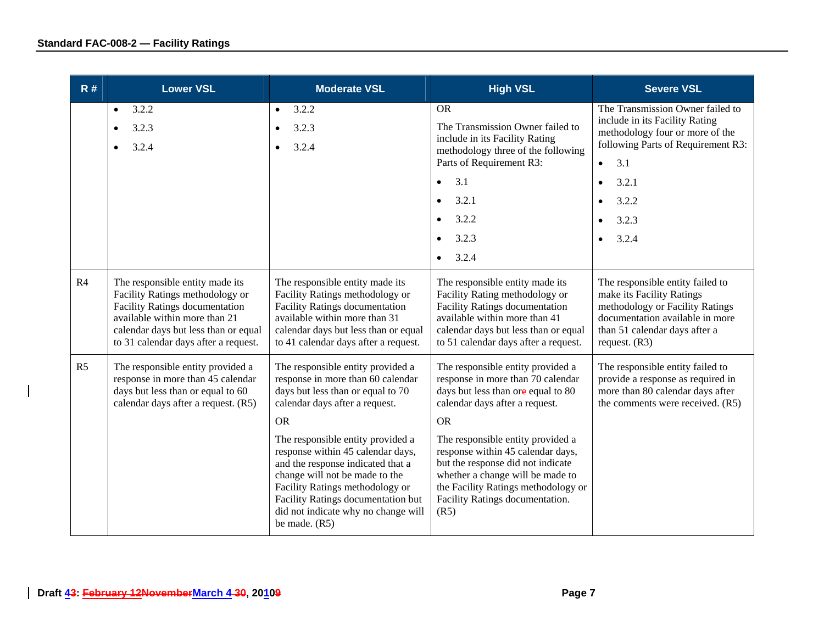| R#             | <b>Lower VSL</b>                                                                                                                                                                                                             | <b>Moderate VSL</b>                                                                                                                                                                                                                                                            | <b>High VSL</b>                                                                                                                                                                                                                   | <b>Severe VSL</b>                                                                                                                                                                       |
|----------------|------------------------------------------------------------------------------------------------------------------------------------------------------------------------------------------------------------------------------|--------------------------------------------------------------------------------------------------------------------------------------------------------------------------------------------------------------------------------------------------------------------------------|-----------------------------------------------------------------------------------------------------------------------------------------------------------------------------------------------------------------------------------|-----------------------------------------------------------------------------------------------------------------------------------------------------------------------------------------|
|                | 3.2.2<br>$\bullet$<br>3.2.3<br>$\bullet$<br>3.2.4<br>$\bullet$                                                                                                                                                               | 3.2.2<br>$\bullet$<br>3.2.3<br>$\bullet$<br>3.2.4<br>$\bullet$                                                                                                                                                                                                                 | <b>OR</b><br>The Transmission Owner failed to<br>include in its Facility Rating<br>methodology three of the following<br>Parts of Requirement R3:                                                                                 | The Transmission Owner failed to<br>include in its Facility Rating<br>methodology four or more of the<br>following Parts of Requirement R3:<br>3.1<br>$\bullet$                         |
|                |                                                                                                                                                                                                                              |                                                                                                                                                                                                                                                                                | 3.1<br>$\bullet$                                                                                                                                                                                                                  | 3.2.1<br>$\bullet$                                                                                                                                                                      |
|                |                                                                                                                                                                                                                              |                                                                                                                                                                                                                                                                                | 3.2.1<br>$\bullet$                                                                                                                                                                                                                | 3.2.2                                                                                                                                                                                   |
|                |                                                                                                                                                                                                                              |                                                                                                                                                                                                                                                                                | 3.2.2                                                                                                                                                                                                                             | 3.2.3                                                                                                                                                                                   |
|                |                                                                                                                                                                                                                              |                                                                                                                                                                                                                                                                                | 3.2.3<br>$\bullet$                                                                                                                                                                                                                | 3.2.4                                                                                                                                                                                   |
|                |                                                                                                                                                                                                                              |                                                                                                                                                                                                                                                                                | 3.2.4<br>$\bullet$                                                                                                                                                                                                                |                                                                                                                                                                                         |
| R <sub>4</sub> | The responsible entity made its<br>Facility Ratings methodology or<br><b>Facility Ratings documentation</b><br>available within more than 21<br>calendar days but less than or equal<br>to 31 calendar days after a request. | The responsible entity made its<br>Facility Ratings methodology or<br><b>Facility Ratings documentation</b><br>available within more than 31<br>calendar days but less than or equal<br>to 41 calendar days after a request.                                                   | The responsible entity made its<br>Facility Rating methodology or<br><b>Facility Ratings documentation</b><br>available within more than 41<br>calendar days but less than or equal<br>to 51 calendar days after a request.       | The responsible entity failed to<br>make its Facility Ratings<br>methodology or Facility Ratings<br>documentation available in more<br>than 51 calendar days after a<br>request. $(R3)$ |
| R <sub>5</sub> | The responsible entity provided a<br>response in more than 45 calendar<br>days but less than or equal to 60<br>calendar days after a request. (R5)                                                                           | The responsible entity provided a<br>response in more than 60 calendar<br>days but less than or equal to 70<br>calendar days after a request.<br><b>OR</b>                                                                                                                     | The responsible entity provided a<br>response in more than 70 calendar<br>days but less than ore equal to 80<br>calendar days after a request.<br><b>OR</b>                                                                       | The responsible entity failed to<br>provide a response as required in<br>more than 80 calendar days after<br>the comments were received. (R5)                                           |
|                |                                                                                                                                                                                                                              | The responsible entity provided a<br>response within 45 calendar days,<br>and the response indicated that a<br>change will not be made to the<br>Facility Ratings methodology or<br>Facility Ratings documentation but<br>did not indicate why no change will<br>be made. (R5) | The responsible entity provided a<br>response within 45 calendar days,<br>but the response did not indicate<br>whether a change will be made to<br>the Facility Ratings methodology or<br>Facility Ratings documentation.<br>(R5) |                                                                                                                                                                                         |